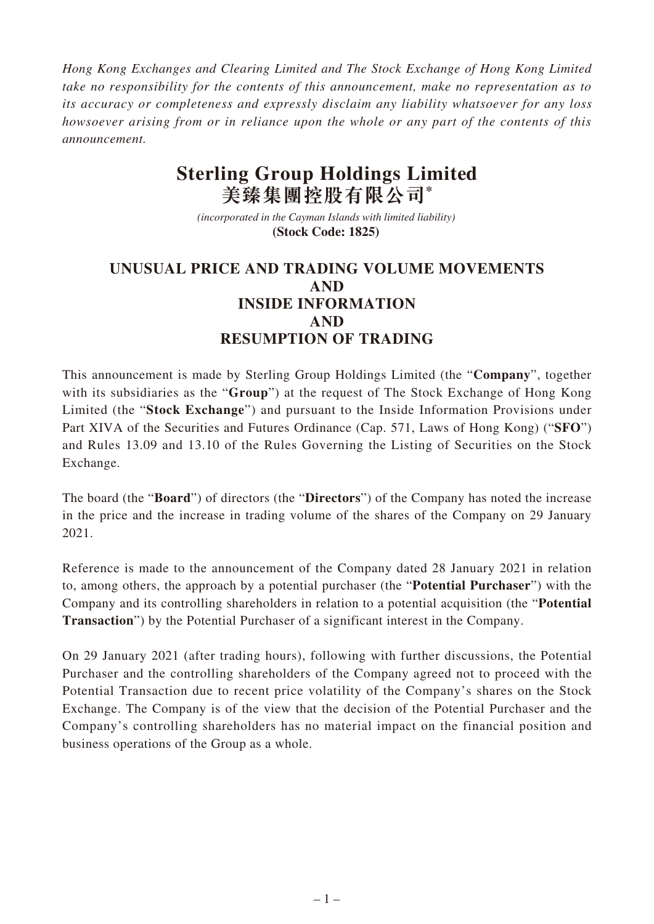*Hong Kong Exchanges and Clearing Limited and The Stock Exchange of Hong Kong Limited take no responsibility for the contents of this announcement, make no representation as to its accuracy or completeness and expressly disclaim any liability whatsoever for any loss howsoever arising from or in reliance upon the whole or any part of the contents of this announcement.*

## **Sterling Group Holdings Limited 美臻集團控股有限公司\***

*(incorporated in the Cayman Islands with limited liability)*  **(Stock Code: 1825)** 

## **UNUSUAL PRICE AND TRADING VOLUME MOVEMENTS AND INSIDE INFORMATION AND RESUMPTION OF TRADING**

This announcement is made by Sterling Group Holdings Limited (the "**Company**", together with its subsidiaries as the "**Group**") at the request of The Stock Exchange of Hong Kong Limited (the "**Stock Exchange**") and pursuant to the Inside Information Provisions under Part XIVA of the Securities and Futures Ordinance (Cap. 571, Laws of Hong Kong) ("**SFO**") and Rules 13.09 and 13.10 of the Rules Governing the Listing of Securities on the Stock Exchange.

The board (the "**Board**") of directors (the "**Directors**") of the Company has noted the increase in the price and the increase in trading volume of the shares of the Company on 29 January 2021.

Reference is made to the announcement of the Company dated 28 January 2021 in relation to, among others, the approach by a potential purchaser (the "**Potential Purchaser**") with the Company and its controlling shareholders in relation to a potential acquisition (the "**Potential Transaction**") by the Potential Purchaser of a significant interest in the Company.

On 29 January 2021 (after trading hours), following with further discussions, the Potential Purchaser and the controlling shareholders of the Company agreed not to proceed with the Potential Transaction due to recent price volatility of the Company's shares on the Stock Exchange. The Company is of the view that the decision of the Potential Purchaser and the Company's controlling shareholders has no material impact on the financial position and business operations of the Group as a whole.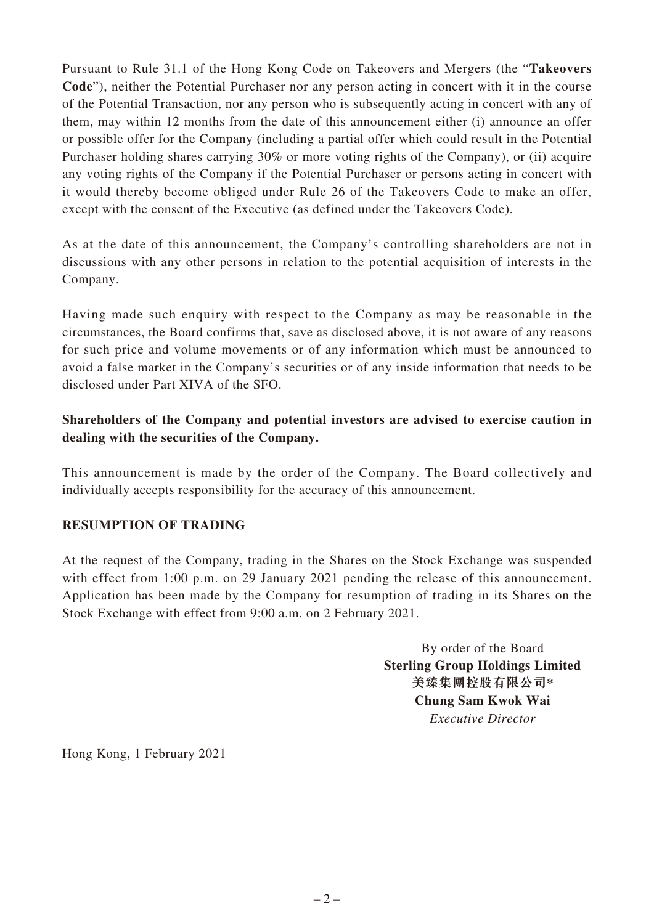Pursuant to Rule 31.1 of the Hong Kong Code on Takeovers and Mergers (the "**Takeovers Code**"), neither the Potential Purchaser nor any person acting in concert with it in the course of the Potential Transaction, nor any person who is subsequently acting in concert with any of them, may within 12 months from the date of this announcement either (i) announce an offer or possible offer for the Company (including a partial offer which could result in the Potential Purchaser holding shares carrying 30% or more voting rights of the Company), or (ii) acquire any voting rights of the Company if the Potential Purchaser or persons acting in concert with it would thereby become obliged under Rule 26 of the Takeovers Code to make an offer, except with the consent of the Executive (as defined under the Takeovers Code).

As at the date of this announcement, the Company's controlling shareholders are not in discussions with any other persons in relation to the potential acquisition of interests in the Company.

Having made such enquiry with respect to the Company as may be reasonable in the circumstances, the Board confirms that, save as disclosed above, it is not aware of any reasons for such price and volume movements or of any information which must be announced to avoid a false market in the Company's securities or of any inside information that needs to be disclosed under Part XIVA of the SFO.

## **Shareholders of the Company and potential investors are advised to exercise caution in dealing with the securities of the Company.**

This announcement is made by the order of the Company. The Board collectively and individually accepts responsibility for the accuracy of this announcement.

## **RESUMPTION OF TRADING**

At the request of the Company, trading in the Shares on the Stock Exchange was suspended with effect from 1:00 p.m. on 29 January 2021 pending the release of this announcement. Application has been made by the Company for resumption of trading in its Shares on the Stock Exchange with effect from 9:00 a.m. on 2 February 2021.

> By order of the Board **Sterling Group Holdings Limited 美臻集團控股有限公司\* Chung Sam Kwok Wai** *Executive Director*

Hong Kong, 1 February 2021